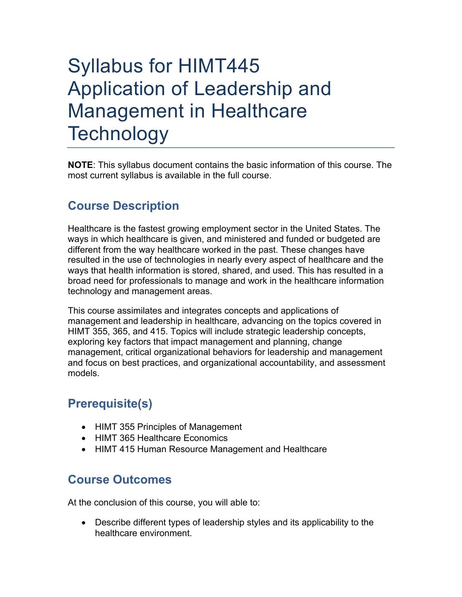# Syllabus for HIMT445 Application of Leadership and Management in Healthcare **Technology**

**NOTE**: This syllabus document contains the basic information of this course. The most current syllabus is available in the full course.

## **Course Description**

Healthcare is the fastest growing employment sector in the United States. The ways in which healthcare is given, and ministered and funded or budgeted are different from the way healthcare worked in the past. These changes have resulted in the use of technologies in nearly every aspect of healthcare and the ways that health information is stored, shared, and used. This has resulted in a broad need for professionals to manage and work in the healthcare information technology and management areas.

This course assimilates and integrates concepts and applications of management and leadership in healthcare, advancing on the topics covered in HIMT 355, 365, and 415. Topics will include strategic leadership concepts, exploring key factors that impact management and planning, change management, critical organizational behaviors for leadership and management and focus on best practices, and organizational accountability, and assessment models.

# **Prerequisite(s)**

- HIMT 355 Principles of Management
- HIMT 365 Healthcare Economics
- HIMT 415 Human Resource Management and Healthcare

### **Course Outcomes**

At the conclusion of this course, you will able to:

• Describe different types of leadership styles and its applicability to the healthcare environment.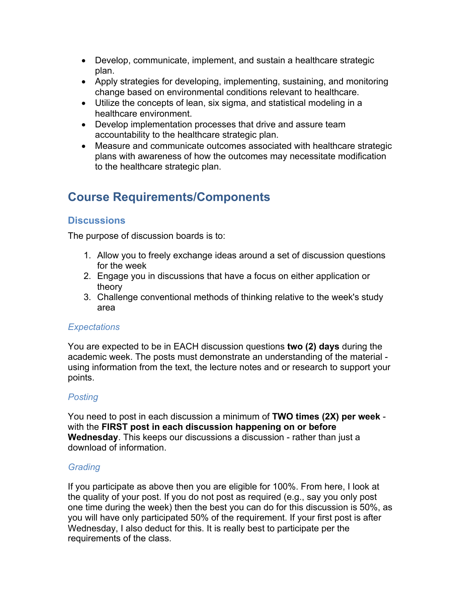- Develop, communicate, implement, and sustain a healthcare strategic plan.
- Apply strategies for developing, implementing, sustaining, and monitoring change based on environmental conditions relevant to healthcare.
- Utilize the concepts of lean, six sigma, and statistical modeling in a healthcare environment.
- Develop implementation processes that drive and assure team accountability to the healthcare strategic plan.
- Measure and communicate outcomes associated with healthcare strategic plans with awareness of how the outcomes may necessitate modification to the healthcare strategic plan.

# **Course Requirements/Components**

#### **Discussions**

The purpose of discussion boards is to:

- 1. Allow you to freely exchange ideas around a set of discussion questions for the week
- 2. Engage you in discussions that have a focus on either application or theory
- 3. Challenge conventional methods of thinking relative to the week's study area

#### *Expectations*

You are expected to be in EACH discussion questions **two (2) days** during the academic week. The posts must demonstrate an understanding of the material using information from the text, the lecture notes and or research to support your points.

#### *Posting*

You need to post in each discussion a minimum of **TWO times (2X) per week** with the **FIRST post in each discussion happening on or before Wednesday**. This keeps our discussions a discussion - rather than just a download of information.

#### *Grading*

If you participate as above then you are eligible for 100%. From here, I look at the quality of your post. If you do not post as required (e.g., say you only post one time during the week) then the best you can do for this discussion is 50%, as you will have only participated 50% of the requirement. If your first post is after Wednesday, I also deduct for this. It is really best to participate per the requirements of the class.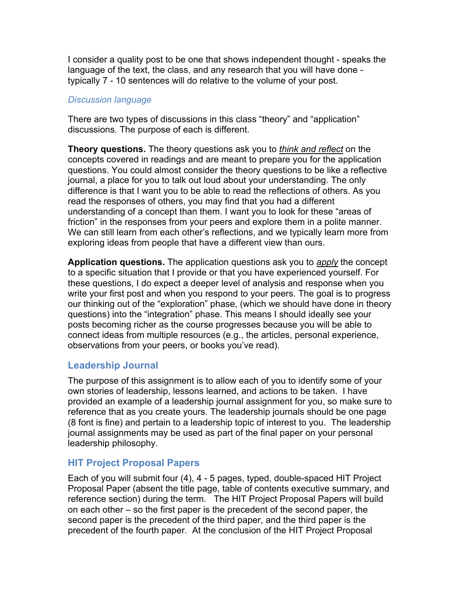I consider a quality post to be one that shows independent thought - speaks the language of the text, the class, and any research that you will have done typically 7 - 10 sentences will do relative to the volume of your post.

#### *Discussion language*

There are two types of discussions in this class "theory" and "application" discussions. The purpose of each is different.

**Theory questions.** The theory questions ask you to *think and reflect* on the concepts covered in readings and are meant to prepare you for the application questions. You could almost consider the theory questions to be like a reflective journal, a place for you to talk out loud about your understanding. The only difference is that I want you to be able to read the reflections of others. As you read the responses of others, you may find that you had a different understanding of a concept than them. I want you to look for these "areas of friction" in the responses from your peers and explore them in a polite manner. We can still learn from each other's reflections, and we typically learn more from exploring ideas from people that have a different view than ours.

**Application questions.** The application questions ask you to *apply* the concept to a specific situation that I provide or that you have experienced yourself. For these questions, I do expect a deeper level of analysis and response when you write your first post and when you respond to your peers. The goal is to progress our thinking out of the "exploration" phase, (which we should have done in theory questions) into the "integration" phase. This means I should ideally see your posts becoming richer as the course progresses because you will be able to connect ideas from multiple resources (e.g., the articles, personal experience, observations from your peers, or books you've read).

#### **Leadership Journal**

The purpose of this assignment is to allow each of you to identify some of your own stories of leadership, lessons learned, and actions to be taken. I have provided an example of a leadership journal assignment for you, so make sure to reference that as you create yours. The leadership journals should be one page (8 font is fine) and pertain to a leadership topic of interest to you. The leadership journal assignments may be used as part of the final paper on your personal leadership philosophy.

#### **HIT Project Proposal Papers**

Each of you will submit four (4), 4 - 5 pages, typed, double-spaced HIT Project Proposal Paper (absent the title page, table of contents executive summary, and reference section) during the term. The HIT Project Proposal Papers will build on each other – so the first paper is the precedent of the second paper, the second paper is the precedent of the third paper, and the third paper is the precedent of the fourth paper. At the conclusion of the HIT Project Proposal